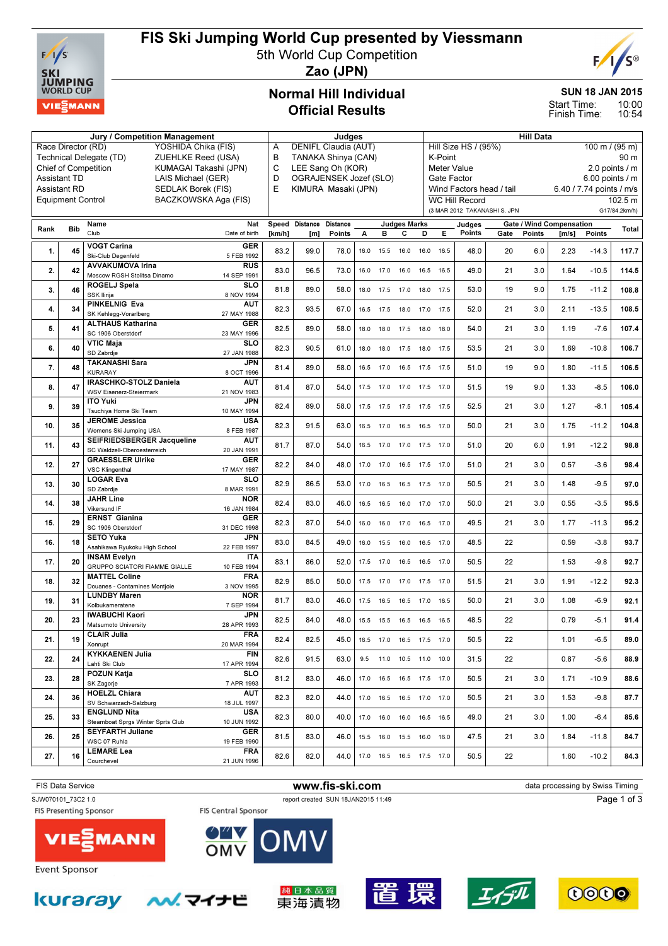

# FIS Ski Jumping World Cup presented by Viessmann

5th World Cup Competition



Zao (JPN)

## Normal Hill Individual Official Results

#### SUN 18 JAN 2015

10:00 10:54 Start Time: Finish Time:

|                                                                              |                                            | Jury / Competition Management                            | Judges                                             |        |                               |                 |      |                | <b>Hill Data</b>             |                                                                       |                                        |                              |      |               |                                 |               |               |
|------------------------------------------------------------------------------|--------------------------------------------|----------------------------------------------------------|----------------------------------------------------|--------|-------------------------------|-----------------|------|----------------|------------------------------|-----------------------------------------------------------------------|----------------------------------------|------------------------------|------|---------------|---------------------------------|---------------|---------------|
| Race Director (RD)<br>YOSHIDA Chika (FIS)                                    |                                            |                                                          |                                                    |        | DENIFL Claudia (AUT)<br>Α     |                 |      |                |                              |                                                                       | Hill Size HS / (95%)<br>100 m / (95 m) |                              |      |               |                                 |               |               |
| Technical Delegate (TD)<br>ZUEHLKE Reed (USA)<br><b>Chief of Competition</b> |                                            |                                                          |                                                    |        | B<br>TANAKA Shinya (CAN)<br>C |                 |      |                |                              |                                                                       | K-Point<br>90 m                        |                              |      |               |                                 |               |               |
|                                                                              |                                            | KUMAGAI Takashi (JPN)                                    | LEE Sang Oh (KOR)<br>D                             |        |                               |                 |      |                |                              | $2.0$ points $/ m$<br>Meter Value<br>$6.00$ points / m<br>Gate Factor |                                        |                              |      |               |                                 |               |               |
|                                                                              | <b>Assistant TD</b><br><b>Assistant RD</b> | LAIS Michael (GER)<br>SEDLAK Borek (FIS)                 | OGRAJENSEK Jozef (SLO)<br>E<br>KIMURA Masaki (JPN) |        |                               |                 |      |                |                              |                                                                       | Wind Factors head / tail               |                              |      |               | 6.40 / 7.74 points / m/s        |               |               |
|                                                                              | <b>Equipment Control</b>                   | BACZKOWSKA Aga (FIS)                                     |                                                    |        |                               |                 |      |                |                              |                                                                       |                                        | <b>WC Hill Record</b>        |      |               |                                 |               | 102.5 m       |
|                                                                              |                                            |                                                          |                                                    |        |                               |                 |      |                |                              |                                                                       |                                        | (3 MAR 2012 TAKANASHI S. JPN |      |               |                                 |               | G17/84.2km/h) |
|                                                                              |                                            | Name                                                     | Nat                                                |        | Speed Distance                | <b>Distance</b> |      |                | <b>Judges Marks</b>          |                                                                       |                                        | Judges                       |      |               | <b>Gate / Wind Compensation</b> |               |               |
| Rank                                                                         | <b>Bib</b>                                 | Club                                                     | Date of birth                                      | [km/h] | [m]                           | Points          | А    | в              | С                            | D                                                                     | Е                                      | Points                       | Gate | <b>Points</b> | [m/s]                           | <b>Points</b> | Total         |
| 1.                                                                           | 45                                         | <b>VOGT Carina</b>                                       | <b>GER</b>                                         | 83.2   | 99.0                          | 78.0            | 16.0 | 15.5           | 16.0                         | 16.0                                                                  | 16.5                                   | 48.0                         | 20   | 6.0           | 2.23                            | $-14.3$       | 117.7         |
|                                                                              |                                            | Ski-Club Degenfeld<br><b>AVVAKUMOVA Irina</b>            | 5 FEB 1992<br><b>RUS</b>                           |        |                               |                 |      |                |                              |                                                                       |                                        |                              |      |               |                                 |               |               |
| 2.                                                                           | 42                                         | Moscow RGSH Stolitsa Dinamo                              | 14 SEP 1991                                        | 83.0   | 96.5                          | 73.0            | 16.0 | 17.0           | 16.0                         | 16.5                                                                  | 16.5                                   | 49.0                         | 21   | 3.0           | 1.64                            | $-10.5$       | 114.5         |
| 3.                                                                           | 46                                         | <b>ROGELJ Spela</b>                                      | <b>SLO</b>                                         | 81.8   | 89.0                          | 58.0            |      | 18.0 17.5 17.0 |                              | 18.0                                                                  | 17.5                                   | 53.0                         | 19   | 9.0           | 1.75                            | $-11.2$       | 108.8         |
|                                                                              |                                            | SSK Ilirija                                              | 8 NOV 1994                                         |        |                               |                 |      |                |                              |                                                                       |                                        |                              |      |               |                                 |               |               |
| 4.                                                                           | 34                                         | <b>PINKELNIG Eva</b><br>SK Kehlegg-Vorarlberg            | <b>AUT</b><br>27 MAY 1988                          | 82.3   | 93.5                          | 67.0            |      | 16.5 17.5 18.0 |                              | 17.0 17.5                                                             |                                        | 52.0                         | 21   | 3.0           | 2.11                            | $-13.5$       | 108.5         |
| 5.                                                                           | 41                                         | <b>ALTHAUS Katharina</b>                                 | GER                                                | 82.5   | 89.0                          | 58.0            | 18.0 | 18.0           |                              | 18.0                                                                  | 18.0                                   | 54.0                         | 21   | 3.0           | 1.19                            | $-7.6$        | 107.4         |
|                                                                              |                                            | SC 1906 Oberstdorf                                       | 23 MAY 1996                                        |        |                               |                 |      |                | 17.5                         |                                                                       |                                        |                              |      |               |                                 |               |               |
| 6.                                                                           | 40                                         | <b>VTIC Maja</b><br>SD Zabrdje                           | SLO<br>27 JAN 1988                                 | 82.3   | 90.5                          | 61.0            | 18.0 | 18.0           | 17.5                         | 18.0                                                                  | 17.5                                   | 53.5                         | 21   | 3.0           | 1.69                            | $-10.8$       | 106.7         |
|                                                                              |                                            | <b>TAKANASHI Sara</b>                                    | JPN                                                |        |                               |                 |      |                |                              |                                                                       |                                        |                              |      |               |                                 |               |               |
| 7.                                                                           | 48                                         | <b>KURARAY</b>                                           | 8 OCT 1996                                         | 81.4   | 89.0                          | 58.0            | 16.5 | 17.0           | 16.5                         | 17.5                                                                  | 17.5                                   | 51.0                         | 19   | 9.0           | 1.80                            | $-11.5$       | 106.5         |
| 8.                                                                           | 47                                         | <b>IRASCHKO-STOLZ Daniela</b><br>WSV Eisenerz-Steiermark | AUT<br>21 NOV 1983                                 | 81.4   | 87.0                          | 54.0            |      | 17.5 17.0 17.0 |                              | 17.5                                                                  | 17.0                                   | 51.5                         | 19   | 9.0           | 1.33                            | $-8.5$        | 106.0         |
|                                                                              |                                            | <b>ITO Yuki</b>                                          | JPN                                                |        |                               |                 |      |                |                              |                                                                       |                                        |                              |      |               |                                 |               |               |
| 9.                                                                           | 39                                         | Tsuchiya Home Ski Team                                   | 10 MAY 1994                                        | 82.4   | 89.0                          | 58.0            | 17.5 | 17.5 17.5      |                              | 17.5                                                                  | 17.5                                   | 52.5                         | 21   | 3.0           | 1.27                            | $-8.1$        | 105.4         |
| 10.                                                                          | 35                                         | <b>JEROME Jessica</b>                                    | <b>USA</b>                                         | 82.3   | 91.5                          | 63.0            | 16.5 | 17.0           | 16.5                         | 16.5                                                                  | 17.0                                   | 50.0                         | 21   | 3.0           | 1.75                            | $-11.2$       | 104.8         |
|                                                                              |                                            | Womens Ski Jumping USA<br>SEIFRIEDSBERGER Jacqueline     | 8 FEB 1987<br><b>AUT</b>                           |        |                               |                 |      |                |                              |                                                                       |                                        |                              |      |               |                                 |               |               |
| 11.                                                                          | 43                                         | SC Waldzell-Oberoesterreich                              | 20 JAN 1991                                        | 81.7   | 87.0                          | 54.0            | 16.5 | 17.0 17.0      |                              | 17.5 17.0                                                             |                                        | 51.0                         | 20   | 6.0           | 1.91                            | $-12.2$       | 98.8          |
| 12.                                                                          | 27                                         | <b>GRAESSLER Ulrike</b>                                  | <b>GER</b>                                         | 82.2   | 84.0                          | 48.0            |      | 17.0 17.0      | 16.5                         | 17.5 17.0                                                             |                                        | 51.0                         | 21   | 3.0           | 0.57                            | $-3.6$        | 98.4          |
|                                                                              |                                            | <b>VSC Klingenthal</b><br><b>LOGAR Eva</b>               | 17 MAY 1987<br><b>SLO</b>                          |        |                               |                 |      |                |                              |                                                                       |                                        |                              |      |               |                                 |               |               |
| 13.                                                                          | 30                                         | SD Zabrdje                                               | 8 MAR 1991                                         | 82.9   | 86.5                          | 53.0            |      |                | 17.0  16.5  16.5  17.5  17.0 |                                                                       |                                        | 50.5                         | 21   | 3.0           | 1.48                            | $-9.5$        | 97.0          |
| 14.                                                                          | 38                                         | <b>JAHR Line</b>                                         | <b>NOR</b>                                         | 82.4   | 83.0                          | 46.0            | 16.5 | 16.5           | 16.0                         | 17.0                                                                  | 17.0                                   | 50.0                         | 21   | 3.0           | 0.55                            | $-3.5$        | 95.5          |
|                                                                              |                                            | <b>Vikersund IF</b><br><b>ERNST Gianina</b>              | 16 JAN 1984<br>GER                                 |        |                               |                 |      |                |                              |                                                                       |                                        |                              |      |               |                                 |               |               |
| 15.                                                                          | 29                                         | SC 1906 Oberstdorf                                       | 31 DEC 1998                                        | 82.3   | 87.0                          | 54.0            | 16.0 | 16.0           | 17.0                         | 16.5                                                                  | 17.0                                   | 49.5                         | 21   | 3.0           | 1.77                            | $-11.3$       | 95.2          |
| 16.                                                                          | 18                                         | <b>SETO Yuka</b>                                         | JPN                                                | 83.0   | 84.5                          | 49.0            | 16.0 | 15.5           | 16.0                         | 16.5                                                                  | 17.0                                   | 48.5                         | 22   |               | 0.59                            | $-3.8$        | 93.7          |
|                                                                              |                                            | Asahikawa Ryukoku High School<br><b>INSAM Evelyn</b>     | 22 FEB 1997<br><b>ITA</b>                          |        |                               |                 |      |                |                              |                                                                       |                                        |                              |      |               |                                 |               |               |
| 17.                                                                          | 20                                         | <b>GRUPPO SCIATORI FIAMME GIALLE</b>                     | 10 FEB 1994                                        | 83.1   | 86.0                          | 52.0            | 17.5 | 17.0           | 16.5                         | 16.5                                                                  | 17.0                                   | 50.5                         | 22   |               | 1.53                            | $-9.8$        | 92.7          |
| 18.                                                                          | 32                                         | <b>MATTEL Coline</b>                                     | <b>FRA</b>                                         | 82.9   | 85.0                          | 50.0            | 17.5 | 17.0           | 17.0                         | 17.5                                                                  | 17.0                                   | 51.5                         | 21   | 3.0           | 1.91                            | $-12.2$       | 92.3          |
|                                                                              |                                            | Douanes - Contamines Montjoie                            | 3 NOV 1995                                         |        |                               |                 |      |                |                              |                                                                       |                                        |                              |      |               |                                 |               |               |
| 19.                                                                          | 31                                         | <b>LUNDBY Maren</b><br>Kolbukameratene                   | <b>NOR</b><br>7 SEP 1994                           | 81.7   | 83.0                          | 46.0            | 17.5 | 16.5           | 16.5                         | 17.0                                                                  | 16.5                                   | 50.0                         | 21   | 3.0           | 1.08                            | $-6.9$        | 92.1          |
| 20.                                                                          | 23                                         | <b>IWABUCHI Kaori</b>                                    | JPN                                                | 82.5   | 84.0                          | 48.0            |      |                | 15.5 15.5 16.5 16.5          |                                                                       | 16.5                                   | 48.5                         | 22   |               | 0.79                            | $-5.1$        | 91.4          |
|                                                                              |                                            | Matsumoto University                                     | 28 APR 1993                                        |        |                               |                 |      |                |                              |                                                                       |                                        |                              |      |               |                                 |               |               |
| 21.                                                                          | 19                                         | <b>CLAIR Julia</b><br>Xonrupt                            | <b>FRA</b><br>20 MAR 1994                          | 82.4   | 82.5                          | 45.0            |      |                | 16.5 17.0 16.5 17.5 17.0     |                                                                       |                                        | 50.5                         | 22   |               | 1.01                            | $-6.5$        | 89.0          |
|                                                                              |                                            | <b>KYKKAENEN Julia</b>                                   | <b>FIN</b>                                         |        |                               |                 |      |                |                              |                                                                       |                                        |                              |      |               |                                 |               |               |
| 22.                                                                          | 24                                         | Lahti Ski Club                                           | 17 APR 1994                                        | 82.6   | 91.5                          | 63.0            |      |                | 9.5 11.0 10.5 11.0 10.0      |                                                                       |                                        | 31.5                         | 22   |               | 0.87                            | $-5.6$        | 88.9          |
| 23.                                                                          | 28                                         | <b>POZUN Katja</b><br>SK Zagorje                         | SLO<br>7 APR 1993                                  | 81.2   | 83.0                          | 46.0            |      |                | 17.0  16.5  16.5  17.5  17.0 |                                                                       |                                        | 50.5                         | 21   | 3.0           | 1.71                            | $-10.9$       | 88.6          |
|                                                                              |                                            | <b>HOELZL Chiara</b>                                     | <b>AUT</b>                                         |        |                               |                 |      |                |                              |                                                                       |                                        |                              |      |               |                                 |               |               |
| 24.                                                                          | 36                                         | SV Schwarzach-Salzburg                                   | 18 JUL 1997                                        | 82.3   | 82.0                          | 44.0            |      |                | 17.0  16.5  16.5  17.0  17.0 |                                                                       |                                        | 50.5                         | 21   | 3.0           | 1.53                            | $-9.8$        | 87.7          |
| 25.                                                                          | 33                                         | <b>ENGLUND Nita</b><br>Steamboat Sprgs Winter Sprts Club | <b>USA</b><br>10 JUN 1992                          | 82.3   | 80.0                          | 40.0            |      |                | 17.0  16.0  16.0  16.5  16.5 |                                                                       |                                        | 49.0                         | 21   | 3.0           | 1.00                            | $-6.4$        | 85.6          |
|                                                                              |                                            | <b>SEYFARTH Juliane</b>                                  | <b>GER</b>                                         |        |                               |                 |      |                |                              |                                                                       |                                        |                              |      |               |                                 |               |               |
| 26.                                                                          | 25                                         | WSC 07 Ruhla                                             | 19 FEB 1990                                        | 81.5   | 83.0                          | 46.0            |      |                | 15.5 16.0 15.5 16.0 16.0     |                                                                       |                                        | 47.5                         | 21   | 3.0           | 1.84                            | $-11.8$       | 84.7          |
| 27.                                                                          | 16                                         | <b>LEMARE Lea</b>                                        | <b>FRA</b>                                         | 82.6   | 82.0                          | 44.0            |      |                | 17.0  16.5  16.5  17.5  17.0 |                                                                       |                                        | 50.5                         | 22   |               | 1.60                            | $-10.2$       | 84.3          |
|                                                                              |                                            | Courchevel                                               | 21 JUN 1996                                        |        |                               |                 |      |                |                              |                                                                       |                                        |                              |      |               |                                 |               |               |



**Event Sponsor** 









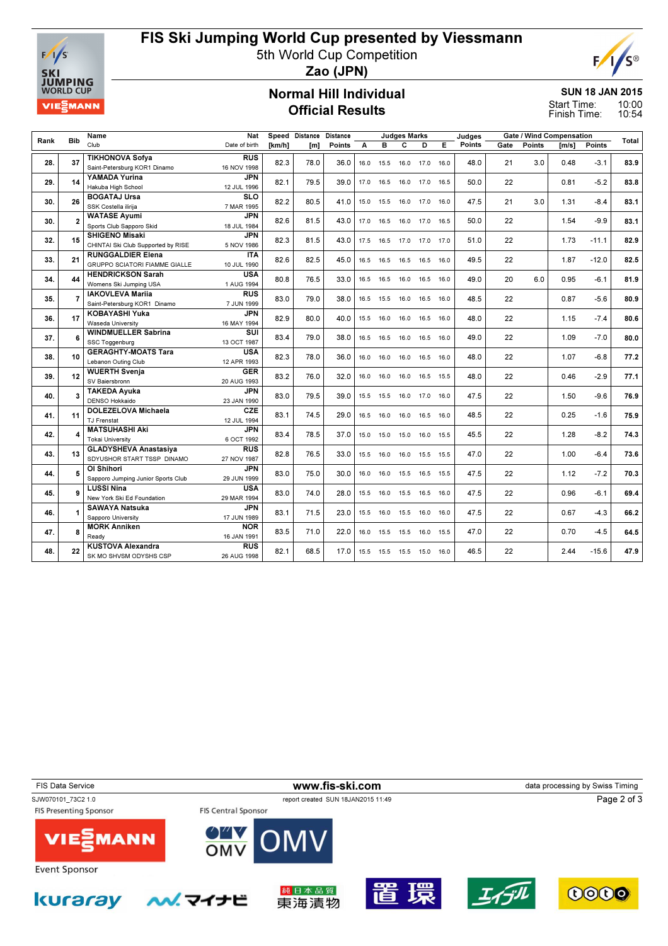

kuraray

## FIS Ski Jumping World Cup presented by Viessmann

5th World Cup Competition



Zao (JPN)

#### Normal Hill Individual Official Results

SUN 18 JAN 2015 10:00

10:54 Start Time: Finish Time:

|      |                        | Name                                 | Nat              |        | Speed Distance Distance |        |      |                | <b>Judges Marks</b> |           |      | Judges | Gate / Wind Compensation |        |       |         |       |
|------|------------------------|--------------------------------------|------------------|--------|-------------------------|--------|------|----------------|---------------------|-----------|------|--------|--------------------------|--------|-------|---------|-------|
| Rank | <b>Bib</b>             | Club                                 | Date of birth    | [km/h] | [m]                     | Points | A    | в              | C                   | D         | Е    | Points | Gate                     | Points | [m/s] | Points  | Total |
|      |                        | <b>TIKHONOVA Sofya</b>               | <b>RUS</b>       |        |                         |        |      |                |                     |           |      |        |                          |        |       |         |       |
| 28.  | 37                     | Saint-Petersburg KOR1 Dinamo         | 16 NOV 1998      | 82.3   | 78.0                    | 36.0   | 16.0 | 15.5           | 16.0                | 17.0      | 16.0 | 48.0   | 21                       | 3.0    | 0.48  | $-3.1$  | 83.9  |
|      |                        | YAMADA Yurina                        | <b>JPN</b>       |        |                         |        |      |                |                     |           |      |        |                          |        |       |         |       |
| 29.  | 14                     | Hakuba High School                   | 12 JUL 1996      | 82.1   | 79.5                    | 39.0   | 17.0 | 16.5           | 16.0                | 17.0      | 16.5 | 50.0   | 22                       |        | 0.81  | $-5.2$  | 83.8  |
|      |                        | <b>BOGATAJ Ursa</b>                  | <b>SLO</b>       |        |                         |        |      |                |                     |           |      |        |                          |        |       |         |       |
| 30.  | 26                     | SSK Costella iliriia                 | 7 MAR 1995       | 82.2   | 80.5                    | 41.0   |      | 15.0 15.5      | 16.0                | 17.0      | 16.0 | 47.5   | 21                       | 3.0    | 1.31  | $-8.4$  | 83.1  |
|      |                        | <b>WATASE Avumi</b>                  | <b>JPN</b>       |        |                         |        |      |                |                     |           |      |        |                          |        |       |         |       |
| 30.  | 2                      | Sports Club Sapporo Skid             | 18 JUL 1984      | 82.6   | 81.5                    | 43.0   |      | 17.0 16.5      | 16.0 17.0 16.5      |           |      | 50.0   | 22                       |        | 1.54  | $-9.9$  | 83.1  |
|      |                        | <b>SHIGENO Misaki</b>                | <b>JPN</b>       |        |                         |        |      |                |                     |           |      |        |                          |        |       |         |       |
| 32.  | 15                     | CHINTAI Ski Club Supported by RISE   | 5 NOV 1986       | 82.3   | 81.5                    | 43.0   | 17.5 | 16.5           | 17.0                | 17.0      | 17.0 | 51.0   | 22                       |        | 1.73  | $-11.1$ | 82.9  |
|      |                        | <b>RUNGGALDIER Elena</b>             | <b>ITA</b>       |        |                         |        |      |                |                     |           |      |        |                          |        |       |         |       |
| 33.  | 21                     | <b>GRUPPO SCIATORI FIAMME GIALLE</b> | 10 JUL 1990      | 82.6   | 82.5                    | 45.0   |      | 16.5 16.5      | 16.5                | 16.5      | 16.0 | 49.5   | 22                       |        | 1.87  | $-12.0$ | 82.5  |
|      |                        | <b>HENDRICKSON Sarah</b>             | <b>USA</b>       |        |                         |        |      |                |                     |           |      |        |                          |        |       |         |       |
| 34.  | 44                     | Womens Ski Jumping USA               | 1 AUG 1994       | 80.8   | 76.5                    | 33.0   |      | 16.5 16.5      | 16.0                | 16.5      | 16.0 | 49.0   | 20                       | 6.0    | 0.95  | $-6.1$  | 81.9  |
|      |                        | <b>IAKOVLEVA Marija</b>              | $R\overline{US}$ |        |                         |        |      |                |                     |           |      |        |                          |        |       |         |       |
| 35.  | $\overline{7}$         | Saint-Petersburg KOR1 Dinamo         | 7 JUN 1999       | 83.0   | 79.0                    | 38.0   | 16.5 | 15.5           | 16.0                | 16.5      | 16.0 | 48.5   | 22                       |        | 0.87  | $-5.6$  | 80.9  |
|      |                        | <b>KOBAYASHI Yuka</b>                | <b>JPN</b>       |        |                         |        |      |                |                     |           |      |        |                          |        |       |         |       |
| 36.  | 17                     | Waseda University                    | 16 MAY 1994      | 82.9   | 80.0                    | 40.0   | 15.5 | 16.0           | 16.0                | 16.5      | 16.0 | 48.0   | 22                       |        | 1.15  | $-7.4$  | 80.6  |
|      |                        | <b>WINDMUELLER Sabrina</b>           | SUI              |        |                         |        |      |                |                     |           |      |        |                          |        |       |         |       |
| 37.  | 6                      | SSC Toggenburg                       | 13 OCT 1987      | 83.4   | 79.0                    | 38.0   | 16.5 | 16.5           | 16.0                | 16.5      | 16.0 | 49.0   | 22                       |        | 1.09  | $-7.0$  | 80.0  |
|      |                        | <b>GERAGHTY-MOATS Tara</b>           | <b>USA</b>       |        |                         |        |      |                |                     |           |      |        |                          |        |       |         |       |
| 38.  | 10                     | Lebanon Outing Club                  | 12 APR 1993      | 82.3   | 78.0                    | 36.0   | 16.0 | 16.0           | 16.0                | 16.5      | 16.0 | 48.0   | 22                       |        | 1.07  | $-6.8$  | 77.2  |
|      |                        | <b>WUERTH Svenia</b>                 | <b>GER</b>       |        |                         |        |      |                |                     |           |      |        |                          |        |       |         |       |
| 39.  | 12                     | SV Baiersbronn                       | 20 AUG 1993      | 83.2   | 76.0                    | 32.0   | 16.0 | 16.0           | 16.0                | 16.5      | 15.5 | 48.0   | 22                       |        | 0.46  | $-2.9$  | 77.1  |
|      |                        | <b>TAKEDA Avuka</b>                  | <b>JPN</b>       |        |                         |        |      |                |                     |           |      |        |                          |        |       |         |       |
| 40.  | $\overline{3}$         | DENSO Hokkaido                       | 23 JAN 1990      | 83.0   | 79.5                    | 39.0   |      | 15.5 15.5      | 16.0                | 17.0      | 16.0 | 47.5   | 22                       |        | 1.50  | $-9.6$  | 76.9  |
|      |                        | <b>DOLEZELOVA Michaela</b>           | CZE              |        |                         |        |      |                |                     |           |      |        |                          |        |       |         |       |
| 41.  | 11                     | <b>TJ Frenstat</b>                   | 12 JUL 1994      | 83.1   | 74.5                    | 29.0   |      | 16.5 16.0      | 16.0                | 16.5      | 16.0 | 48.5   | 22                       |        | 0.25  | $-1.6$  | 75.9  |
|      |                        | <b>MATSUHASHI Aki</b>                | <b>JPN</b>       |        |                         |        |      |                |                     |           |      |        |                          |        |       |         |       |
| 42.  | $\boldsymbol{\Lambda}$ | <b>Tokai University</b>              | 6 OCT 1992       | 83.4   | 78.5                    | 37.0   |      | 15.0 15.0      | 15.0                | 16.0      | 15.5 | 45.5   | 22                       |        | 1.28  | $-8.2$  | 74.3  |
|      |                        | <b>GLADYSHEVA Anastasiya</b>         | <b>RUS</b>       |        |                         |        |      |                |                     |           |      |        |                          |        |       |         |       |
| 43.  | 13                     | SDYUSHOR START TSSP DINAMO           | 27 NOV 1987      | 82.8   | 76.5                    | 33.0   | 15.5 | 16.0           | 16.0                | 15.5      | 15.5 | 47.0   | 22                       |        | 1.00  | $-6.4$  | 73.6  |
|      |                        | OI Shihori                           | <b>JPN</b>       |        |                         |        |      |                |                     |           |      |        |                          |        |       |         |       |
| 44.  | 5                      | Sapporo Jumping Junior Sports Club   | 29 JUN 1999      | 83.0   | 75.0                    | 30.0   | 16.0 | 16.0           | 15.5                | 16.5 15.5 |      | 47.5   | 22                       |        | 1.12  | $-7.2$  | 70.3  |
|      |                        | <b>LUSSI Nina</b>                    | <b>USA</b>       |        |                         |        |      |                |                     |           |      |        |                          |        |       |         |       |
| 45.  | 9                      | New York Ski Ed Foundation           | 29 MAR 1994      | 83.0   | 74.0                    | 28.0   | 15.5 | 16.0           | 15.5                | 16.5      | 16.0 | 47.5   | 22                       |        | 0.96  | $-6.1$  | 69.4  |
|      |                        | <b>SAWAYA Natsuka</b>                | <b>JPN</b>       |        |                         |        |      |                |                     |           |      |        |                          |        |       |         |       |
| 46.  |                        | Sapporo University                   | 17 JUN 1989      | 83.1   | 71.5                    | 23.0   | 15.5 | 16.0           | 15.5                | 16.0      | 16.0 | 47.5   | 22                       |        | 0.67  | $-4.3$  | 66.2  |
|      |                        | <b>MORK Anniken</b>                  | <b>NOR</b>       |        |                         |        |      |                |                     |           |      |        |                          |        |       |         |       |
| 47.  | 8                      | Ready                                | 16 JAN 1991      | 83.5   | 71.0                    | 22.0   |      | 16.0 15.5 15.5 |                     | 16.0 15.5 |      | 47.0   | 22                       |        | 0.70  | $-4.5$  | 64.5  |
| 48.  |                        | <b>KUSTOVA Alexandra</b>             | <b>RUS</b>       |        |                         |        |      |                |                     |           |      |        |                          |        |       | $-15.6$ | 47.9  |
|      | 22                     | SK MO SHVSM ODYSHS CSP               | 26 AUG 1998      | 82.1   | 68.5                    | 17.0   |      | 15.5 15.5 15.5 |                     | 15.0      | 16.0 | 46.5   | 22                       |        | 2.44  |         |       |
|      |                        |                                      |                  |        |                         |        |      |                |                     |           |      |        |                          |        |       |         |       |

FIS Data Service **WWW.fis-ski.com www.fis-ski.com** data processing by Swiss Timing SJW070101\_73C2 1.0 report created SUN 18JAN2015 11:49 Page 2 of 3FIS Presenting Sponsor FIS Central Sponsor **MANN VIE** OMV **Event Sponsor** 

純日本品質

東海漬物

ヘメ マイナビ

環

谞

エイデル

0000